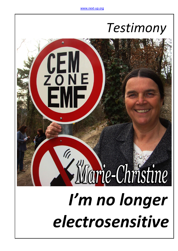## *Testimony*

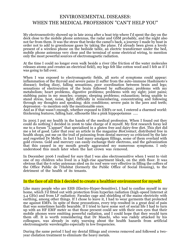## ENVIRONEMENTAL DISEASES: WHEN THE MEDICAL PROFESSION "CAN'T HELP YOU"

My electrosenstivity showed up in late 2004 after a boat trip where I'd spent the day on the deck close to the mobile phone antennas, the radar and GSM probably, and the night also not far from them. It was the straw that broke the camel's back, a journey I made by boat in order not to add to greenhouse gases by taking the plane. I'd already been given a lovely present of a wireless phone on the bedside table, an electric transformer under the bed, mobile phone antennas very close and the terminal of some electrical wiring, to mention only the most powerful sources of electromagnetic radiation.

At the time I could no longer even walk beside a river (the friction of the water molecules releases atoms and creates an electrical field), my legs felt like cotton wool and I felt as if I was going to fall over.

When I was exposed to electromagnetic fields, all sorts of symptoms could appear: inflammation of the thyroid and severe pains (I suffer from the auto-immune Hashimoto's disease); feeling dizzy, falling sensations, poor coordination between brain and legs; sensations of electrocution of the brain followed by suffocation; problems with my metabolism; heart problems, digestive problems; problems with my sight; joint pains; stabbing pains in my muscles; cramps; sleeping problems; exhaustion; being unable to stand stress, heat, noise, light; difficulty in remembering, concentrating and following through my thoughts and speaking; skin conditions; severe pain in the jaws and teeth; depression - to mention only the mentionable ones.

And as if that wasn't enough, whether exposed to EMFs or not, I entered a charmed world: thickening features, falling hair, silhouette like a pink hippopotamus .....

In 2005 I put my health in the hands of the medical profession. When I found out they could do nothing I decided in 2006 to take charge of it myself. My first research foray led me to a forum "L'appart" that specialized in a gluten free and dairy-free diet. This diet did me a lot of good. Later that year an article in the magazine *BioContact*, distributed free in health shops, put me on the trail of poisoning from dental mercury so criticized by the late and regretted Dr Mellet. In fact I had many amalgam fillings, some of them overlaid with gold crowns. Gold and mercury can easily exchange their electrons, and the galvanization that this caused in my mouth greatly aggravated my numerous symptoms. I only understood this much later when the last crown was removed. .

In December 2006 I realised for sure that I was also electrosensitive when I went to visit one of my children who lived in a high-rise apartment block, on the 16th floor. It was obvious that the 6 relay antennas sited on its roof were very effective in filling the coffers of the Office Public de l'Habitat (formerly the Public Office of Social Housing), to the detriment of the health of its tenants.

## In the face of all this I decided to create a healthier environment for myself.

Like many people who are EHS (Electro-Hyper-Sensitive), I had to confine myself in my home, which I'd fitted out with protection from hyperlan radiation (high-speed Internet at 5.4 GHz) and from LF radiation: Faraday cage and shielding of the mains electricity with earthing, among other things. If I chose to leave it, I had to wear garments that protected me against EMFs. In spite of these precautions, every trip resulted in a great deal of pain that was sometimes hardly bearable. If I tried to have some sort of social life I had to turn up with an HF EMF meter so that those present could see with their own eyes that their mobile phones were emitting powerful radiation, and I could hope that they would turn them off. It is worth remembering that Dr Maschi, who was rudely attacked by his colleagues, was already in 1965 warning about the health hazards from artificial electromagnetic wavelengths especially in low frequencies.

During the same period I had my dental fillings and crowns removed and followed a twoyear chelation treatment to eliminate the heavy metals.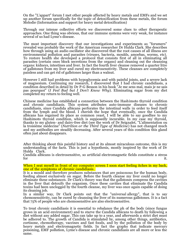On the "L'appart" forum I met other people affected by heavy metals and EMFs and we set up another forum specifically for the topic of detoxification from these metals, the forum Melodie (Information and support for heavy metal detoxification)

Through our intense collective efforts we discovered some clues to other therapeutic approaches. One thing was obvious, that our immune systems were very weak, for instance several of us had Lyme's disease.

The most important discovery that our investigations and experiments as "forumers" revealed was probably the work of the American researcher Dr Hulda Clark. She describes how through using an audio oscillator she discovered that the root causes of all illness are environmental pollution and parasites (viruses, bacteria, moulds, amoebas, worms, etc). To restore health she developed a protocol that consists first of all in eliminating all parasites (certain ones block secretions from the organs) and cleaning out the cleansing organs: kidneys, intestines and liver. In fact the fourth liver cleanse removed a quarter litre of gallstones from my liver and cured my electrosenstivity. These cleanses are completely painless and can get rid of gallstones larger than a walnut.

However I still had problems with hypoglycemia and with painful joints, and a severe lack of magnesium. Continuing my research, I discovered that I had chronic candidiasis, a condition described in detail by Dr P-G Besson in his book "Je me sens mal, mais je ne sais pas pourquoi" (*I Feel Bad but I Don't Know Why*). Eliminating sugar from my diet completed my return to feeling well.

Chinese medicine has established a connection between the Hashimoto thyroid condition and chronic candidiasis. This system attributes auto-immune diseases to chronic candidiasis, since Candida albicans perforates the intestinal walls in order to feed itself from the lymph and the blood. I cherish the hope that eventually, once the Candida albicans has regained its place as common yeast, I will be able to say goodbye to my Hashimoto thyroid condition, which is supposedly incurable. In my case my thyroid, thanks to my gluten- and dairy-free diet (see the work of Dr Seignalet, "L'alimentation ou la troisième médecine" (*Nutrition or the Third Type of Medicine*) has not changed much and my antibodies are steadily decreasing. After several years of this condition this gland often just about disappears.

After thinking about this painful history and at its almost miraculous outcome, this is my understanding of the facts. This is just a hypothesis, mostly inspired by the work of Dr Hulda Clark. .

Candida albicans is electrosensitive, so artificial electromagnetic fields constitute a stress for the it.

When I seat myself in front of my computer screen I soon start feeling itches in my back, one of the symptoms of chronic candidiasis. .

It is a mould and therefore produces substances that are poisonous for the human body, feeding almost exclusively on sugar. Before the fourth cleanse my liver could no longer eliminate these substances. Dr Clark's theory was that the gallstones compress the cavities in the liver that detoxify the organism. Once these cavities that eliminate the Candida toxins had been unclogged by the fourth cleanse, my liver was once again capable of doing its cleaning job.

In a similar way, Dr Clark points out that the "universal allergy", that is to say chemosensitivity, can be cured by cleansing the liver of its numerous gallstones. It is a fact that 75% of people who are chemosensitive are also electrosensitive.

To treat chronic candidiasis it is essential to rebalance the ph of the body (since fungus grows in an acid environment) and to starve the Candida albicans to death by following a diet without any added sugar. This can take up to a year, and afterwards a strict diet must be adhered to. The growth of Candida is stimulated by, among other things, antibiotics, cortisone, chemotherapy, vaccines and fast foods, and by the pollution of the body by heavy metals and electromagnetic fields. In fact the graphs that indicate mercury poisoning, EMF pollution, Lyme's disease and chronic candidiasis are all more or less the same.